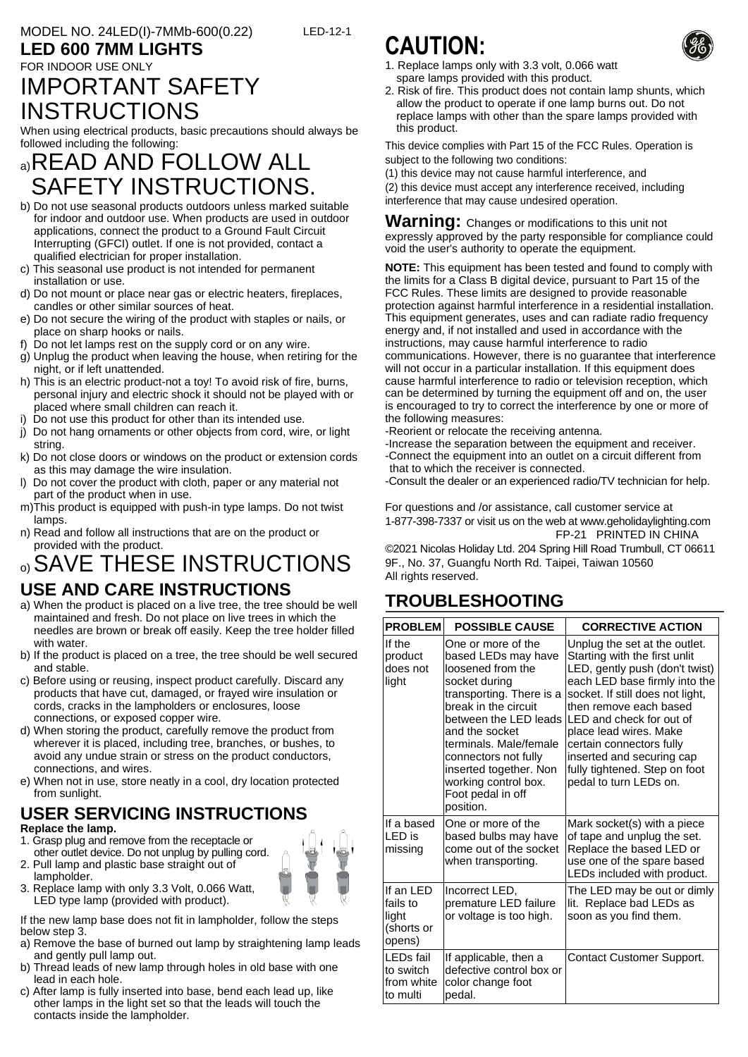### **LED 600 7MM LIGHTS**

## FOR INDOOR USE ONLY IMPORTANT SAFETY **INSTRUCTIONS**

When using electrical products, basic precautions should always be followed including the following:

# a)READ AND FOLLOW ALL SAFETY INSTRUCTIONS.

- b) Do not use seasonal products outdoors unless marked suitable for indoor and outdoor use. When products are used in outdoor applications, connect the product to a Ground Fault Circuit Interrupting (GFCI) outlet. If one is not provided, contact a qualified electrician for proper installation.
- c) This seasonal use product is not intended for permanent installation or use.
- d) Do not mount or place near gas or electric heaters, fireplaces, candles or other similar sources of heat.
- e) Do not secure the wiring of the product with staples or nails, or place on sharp hooks or nails.
- f) Do not let lamps rest on the supply cord or on any wire.
- g) Unplug the product when leaving the house, when retiring for the night, or if left unattended.
- h) This is an electric product-not a toy! To avoid risk of fire, burns, personal injury and electric shock it should not be played with or placed where small children can reach it.
- i) Do not use this product for other than its intended use.
- j) Do not hang ornaments or other objects from cord, wire, or light string.
- k) Do not close doors or windows on the product or extension cords as this may damage the wire insulation.
- l) Do not cover the product with cloth, paper or any material not part of the product when in use.
- m)This product is equipped with push-in type lamps. Do not twist lamps.
- n) Read and follow all instructions that are on the product or provided with the product.
- o) SAVE THESE INSTRUCTIONS

### **USE AND CARE INSTRUCTIONS**

- a) When the product is placed on a live tree, the tree should be well maintained and fresh. Do not place on live trees in which the needles are brown or break off easily. Keep the tree holder filled with water.
- b) If the product is placed on a tree, the tree should be well secured and stable.
- c) Before using or reusing, inspect product carefully. Discard any products that have cut, damaged, or frayed wire insulation or cords, cracks in the lampholders or enclosures, loose connections, or exposed copper wire.
- d) When storing the product, carefully remove the product from wherever it is placed, including tree, branches, or bushes, to avoid any undue strain or stress on the product conductors, connections, and wires.
- e) When not in use, store neatly in a cool, dry location protected from sunlight.

#### **USER SERVICING INSTRUCTIONS Replace the lamp.**

1. Grasp plug and remove from the receptacle or other outlet device. Do not unplug by pulling cord.



lampholder. 3. Replace lamp with only 3.3 Volt, 0.066 Watt, LED type lamp (provided with product).

2. Pull lamp and plastic base straight out of

If the new lamp base does not fit in lampholder, follow the steps below step 3.

- a) Remove the base of burned out lamp by straightening lamp leads and gently pull lamp out.
- b) Thread leads of new lamp through holes in old base with one lead in each hole.
- c) After lamp is fully inserted into base, bend each lead up, like other lamps in the light set so that the leads will touch the contacts inside the lampholder.

# **CAUTION:**

LED-12-1

- 1. Replace lamps only with 3.3 volt, 0.066 watt spare lamps provided with this product.
- 2. Risk of fire. This product does not contain lamp shunts, which allow the product to operate if one lamp burns out. Do not replace lamps with other than the spare lamps provided with this product.

This device complies with Part 15 of the FCC Rules. Operation is subject to the following two conditions:

(1) this device may not cause harmful interference, and

(2) this device must accept any interference received, including interference that may cause undesired operation.

**Warning:** Changes or modifications to this unit not expressly approved by the party responsible for compliance could void the user's authority to operate the equipment.

**NOTE:** This equipment has been tested and found to comply with the limits for a Class B digital device, pursuant to Part 15 of the FCC Rules. These limits are designed to provide reasonable protection against harmful interference in a residential installation. This equipment generates, uses and can radiate radio frequency energy and, if not installed and used in accordance with the instructions, may cause harmful interference to radio communications. However, there is no guarantee that interference will not occur in a particular installation. If this equipment does cause harmful interference to radio or television reception, which can be determined by turning the equipment off and on, the user is encouraged to try to correct the interference by one or more of the following measures:

-Reorient or relocate the receiving antenna.

-Increase the separation between the equipment and receiver. -Connect the equipment into an outlet on a circuit different from that to which the receiver is connected.

-Consult the dealer or an experienced radio/TV technician for help.

For questions and /or assistance, call customer service at 1-877-398-7337 or visit us on the web at [www.geholidaylighting.com](http://www.geholidaylighting.com/) FP-21 PRINTED IN CHINA

©2021 Nicolas Holiday Ltd. 204 Spring Hill Road Trumbull, CT 06611 9F., No. 37, Guangfu North Rd. Taipei, Taiwan 10560 All rights reserved.

# **TROUBLESHOOTING**

| <b>PROBLEM</b>                                         | <b>POSSIBLE CAUSE</b>                                                                                                                                                                                                                                                                                                | <b>CORRECTIVE ACTION</b>                                                                                                                                                                                                                                                                                                                                                  |
|--------------------------------------------------------|----------------------------------------------------------------------------------------------------------------------------------------------------------------------------------------------------------------------------------------------------------------------------------------------------------------------|---------------------------------------------------------------------------------------------------------------------------------------------------------------------------------------------------------------------------------------------------------------------------------------------------------------------------------------------------------------------------|
| If the<br>product<br>does not<br>light                 | One or more of the<br>based LEDs may have<br>loosened from the<br>socket during<br>transporting. There is a<br>break in the circuit<br>between the LED leads<br>and the socket<br>terminals, Male/female<br>connectors not fully<br>inserted together. Non<br>working control box.<br>Foot pedal in off<br>position. | Unplug the set at the outlet.<br>Starting with the first unlit<br>LED, gently push (don't twist)<br>each LED base firmly into the<br>socket. If still does not light,<br>then remove each based<br>LED and check for out of<br>place lead wires. Make<br>certain connectors fully<br>inserted and securing cap<br>fully tightened. Step on foot<br>pedal to turn LEDs on. |
| If a based<br>LED is<br>missing                        | One or more of the<br>based bulbs may have<br>come out of the socket<br>when transporting.                                                                                                                                                                                                                           | Mark socket(s) with a piece<br>of tape and unplug the set.<br>Replace the based LED or<br>use one of the spare based<br>LEDs included with product.                                                                                                                                                                                                                       |
| If an LED<br>fails to<br>light<br>(shorts or<br>opens) | Incorrect LED,<br>premature LED failure<br>or voltage is too high.                                                                                                                                                                                                                                                   | The LED may be out or dimly<br>lit. Replace bad LEDs as<br>soon as you find them.                                                                                                                                                                                                                                                                                         |
| LEDs fail<br>to switch<br>from white<br>to multi       | If applicable, then a<br>defective control box or<br>color change foot<br>pedal.                                                                                                                                                                                                                                     | Contact Customer Support.                                                                                                                                                                                                                                                                                                                                                 |